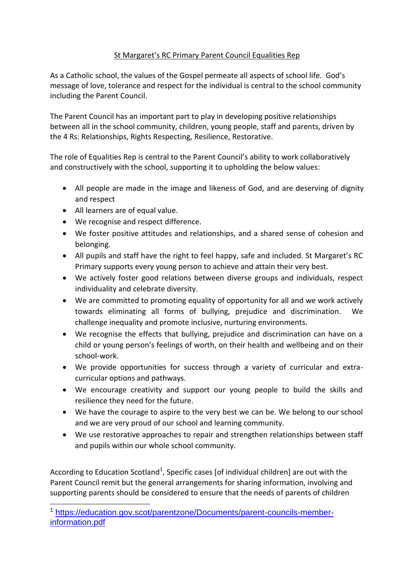## St Margaret's RC Primary Parent Council Equalities Rep

As a Catholic school, the values of the Gospel permeate all aspects of school life. God's message of love, tolerance and respect for the individual is central to the school community including the Parent Council.

The Parent Council has an important part to play in developing positive relationships between all in the school community, children, young people, staff and parents, driven by the 4 Rs: Relationships, Rights Respecting, Resilience, Restorative.

The role of Equalities Rep is central to the Parent Council's ability to work collaboratively and constructively with the school, supporting it to upholding the below values:

- All people are made in the image and likeness of God, and are deserving of dignity and respect
- All learners are of equal value.

1

- We recognise and respect difference.
- We foster positive attitudes and relationships, and a shared sense of cohesion and belonging.
- All pupils and staff have the right to feel happy, safe and included. St Margaret's RC Primary supports every young person to achieve and attain their very best.
- We actively foster good relations between diverse groups and individuals, respect individuality and celebrate diversity.
- We are committed to promoting equality of opportunity for all and we work actively towards eliminating all forms of bullying, prejudice and discrimination. We challenge inequality and promote inclusive, nurturing environments.
- We recognise the effects that bullying, prejudice and discrimination can have on a child or young person's feelings of worth, on their health and wellbeing and on their school-work.
- We provide opportunities for success through a variety of curricular and extracurricular options and pathways.
- We encourage creativity and support our young people to build the skills and resilience they need for the future.
- We have the courage to aspire to the very best we can be. We belong to our school and we are very proud of our school and learning community.
- We use restorative approaches to repair and strengthen relationships between staff and pupils within our whole school community.

According to Education Scotland<sup>1</sup>, Specific cases [of individual children] are out with the Parent Council remit but the general arrangements for sharing information, involving and supporting parents should be considered to ensure that the needs of parents of children

<sup>1</sup> [https://education.gov.scot/parentzone/Documents/parent-councils-member](https://education.gov.scot/parentzone/Documents/parent-councils-member-information.pdf)[information.pdf](https://education.gov.scot/parentzone/Documents/parent-councils-member-information.pdf)